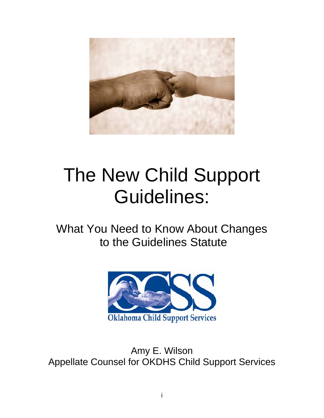

# The New Child Support Guidelines:

What You Need to Know About Changes to the Guidelines Statute



Amy E. Wilson Appellate Counsel for OKDHS Child Support Services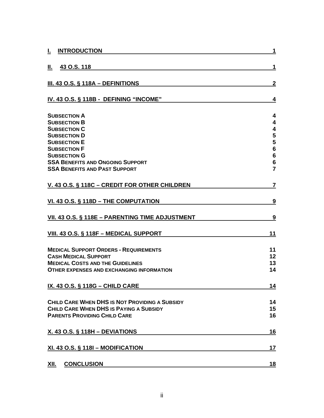| <b>INTRODUCTION</b><br>I.                                                                   | 1                                 |
|---------------------------------------------------------------------------------------------|-----------------------------------|
| 43 O.S. 118<br>Ш.                                                                           | 1                                 |
| <u>III. 43 O.S. § 118A – DEFINITIONS</u>                                                    | $\mathbf{2}$                      |
| IV. 43 O.S. § 118B - DEFINING "INCOME"                                                      | 4                                 |
| <b>SUBSECTION A</b>                                                                         | $\overline{\mathbf{4}}$           |
| <b>SUBSECTION B</b>                                                                         | $\overline{\mathbf{4}}$           |
| <b>SUBSECTION C</b>                                                                         | $\overline{\mathbf{4}}$           |
| <b>SUBSECTION D</b>                                                                         | 5                                 |
| <b>SUBSECTION E</b>                                                                         | $\frac{5}{6}$                     |
| <b>SUBSECTION F</b>                                                                         |                                   |
| <b>SUBSECTION G</b>                                                                         | $6\phantom{1}6$                   |
| <b>SSA BENEFITS AND ONGOING SUPPORT</b><br><b>SSA BENEFITS AND PAST SUPPORT</b>             | $6\phantom{1}6$<br>$\overline{7}$ |
| V. 43 O.S. § 118C - CREDIT FOR OTHER CHILDREN                                               | $\overline{7}$                    |
| VI. 43 O.S. § 118D - THE COMPUTATION                                                        | <u>9</u>                          |
| VII. 43 O.S. § 118E - PARENTING TIME ADJUSTMENT                                             | 9                                 |
| VIII. 43 O.S. § 118F - MEDICAL SUPPORT                                                      | 11                                |
| <b>MEDICAL SUPPORT ORDERS - REQUIREMENTS</b>                                                | 11                                |
| <b>CASH MEDICAL SUPPORT</b>                                                                 | 12                                |
| <b>MEDICAL COSTS AND THE GUIDELINES</b><br><b>OTHER EXPENSES AND EXCHANGING INFORMATION</b> | 13<br>14                          |
| IX. 43 O.S. § 118G - CHILD CARE                                                             | 14                                |
| CHILD CARE WHEN DHS IS NOT PROVIDING A SUBSIDY                                              | 14                                |
| CHILD CARE WHEN DHS IS PAYING A SUBSIDY                                                     | 15                                |
| <b>PARENTS PROVIDING CHILD CARE</b>                                                         | 16                                |
| <u>X. 43 O.S. § 118H - DEVIATIONS</u>                                                       | <u>16</u>                         |
| XI. 43 O.S. § 1181 - MODIFICATION                                                           | 17                                |
| <b>CONCLUSION</b><br>XII.                                                                   | <u>18</u>                         |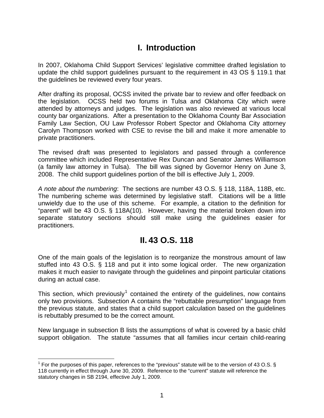# **I. Introduction**

<span id="page-2-0"></span>In 2007, Oklahoma Child Support Services' legislative committee drafted legislation to update the child support guidelines pursuant to the requirement in 43 OS § 119.1 that the guidelines be reviewed every four years.

After drafting its proposal, OCSS invited the private bar to review and offer feedback on the legislation. OCSS held two forums in Tulsa and Oklahoma City which were attended by attorneys and judges. The legislation was also reviewed at various local county bar organizations. After a presentation to the Oklahoma County Bar Association Family Law Section, OU Law Professor Robert Spector and Oklahoma City attorney Carolyn Thompson worked with CSE to revise the bill and make it more amenable to private practitioners.

The revised draft was presented to legislators and passed through a conference committee which included Representative Rex Duncan and Senator James Williamson (a family law attorney in Tulsa). The bill was signed by Governor Henry on June 3, 2008. The child support guidelines portion of the bill is effective July 1, 2009.

*A note about the numbering*: The sections are number 43 O.S. § 118, 118A, 118B, etc. The numbering scheme was determined by legislative staff. Citations will be a little unwieldy due to the use of this scheme. For example, a citation to the definition for "parent" will be 43 O.S. § 118A(10). However, having the material broken down into separate statutory sections should still make using the guidelines easier for practitioners.

## **II. 43 O.S. 118**

<span id="page-2-1"></span>One of the main goals of the legislation is to reorganize the monstrous amount of law stuffed into 43 O.S. § 118 and put it into some logical order. The new organization makes it much easier to navigate through the guidelines and pinpoint particular citations during an actual case.

This section, which previously<sup>[1](#page-2-2)</sup> contained the entirety of the guidelines, now contains only two provisions. Subsection A contains the "rebuttable presumption" language from the previous statute, and states that a child support calculation based on the guidelines is rebuttably presumed to be the correct amount.

New language in subsection B lists the assumptions of what is covered by a basic child support obligation. The statute "assumes that all families incur certain child-rearing

<span id="page-2-2"></span> $\overline{a}$ <sup>1</sup> For the purposes of this paper, references to the "previous" statute will be to the version of 43 O.S. § 118 currently in effect through June 30, 2009. Reference to the "current" statute will reference the statutory changes in SB 2194, effective July 1, 2009.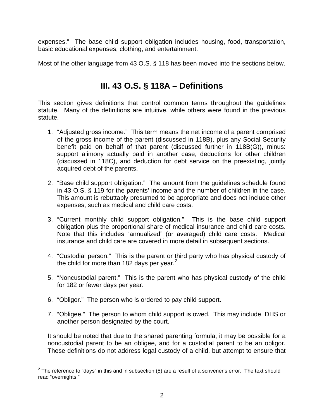expenses." The base child support obligation includes housing, food, transportation, basic educational expenses, clothing, and entertainment.

Most of the other language from 43 O.S. § 118 has been moved into the sections below.

# **III. 43 O.S. § 118A – Definitions**

<span id="page-3-0"></span>This section gives definitions that control common terms throughout the guidelines statute. Many of the definitions are intuitive, while others were found in the previous statute.

- 1. "Adjusted gross income." This term means the net income of a parent comprised of the gross income of the parent (discussed in 118B), plus any Social Security benefit paid on behalf of that parent (discussed further in 118B(G)), minus: support alimony actually paid in another case, deductions for other children (discussed in 118C), and deduction for debt service on the preexisting, jointly acquired debt of the parents.
- 2. "Base child support obligation." The amount from the guidelines schedule found in 43 O.S. § 119 for the parents' income and the number of children in the case. This amount is rebuttably presumed to be appropriate and does not include other expenses, such as medical and child care costs.
- 3. "Current monthly child support obligation." This is the base child support obligation plus the proportional share of medical insurance and child care costs. Note that this includes "annualized" (or averaged) child care costs. Medical insurance and child care are covered in more detail in subsequent sections.
- 4. "Custodial person." This is the parent or third party who has physical custody of the child for more than 18[2](#page-3-1) days per year.<sup>2</sup>
- 5. "Noncustodial parent." This is the parent who has physical custody of the child for 182 or fewer days per year.
- 6. "Obligor." The person who is ordered to pay child support.
- 7. "Obligee." The person to whom child support is owed. This may include DHS or another person designated by the court.

It should be noted that due to the shared parenting formula, it may be possible for a noncustodial parent to be an obligee, and for a custodial parent to be an obligor. These definitions do not address legal custody of a child, but attempt to ensure that

<span id="page-3-1"></span> 2 The reference to "days" in this and in subsection (5) are a result of a scrivener's error. The text should read "overnights."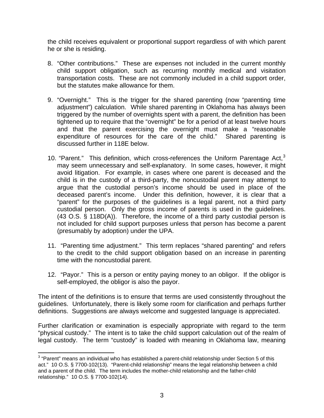the child receives equivalent or proportional support regardless of with which parent he or she is residing.

- 8. "Other contributions." These are expenses not included in the current monthly child support obligation, such as recurring monthly medical and visitation transportation costs. These are not commonly included in a child support order, but the statutes make allowance for them.
- 9. "Overnight." This is the trigger for the shared parenting (now "parenting time adjustment") calculation. While shared parenting in Oklahoma has always been triggered by the number of overnights spent with a parent, the definition has been tightened up to require that the "overnight" be for a period of at least twelve hours and that the parent exercising the overnight must make a "reasonable expenditure of resources for the care of the child." Shared parenting is discussed further in 118E below.
- 10. "Parent." This definition, which cross-references the Uniform Parentage Act, $3$ may seem unnecessary and self-explanatory. In some cases, however, it might avoid litigation. For example, in cases where one parent is deceased and the child is in the custody of a third-party, the noncustodial parent may attempt to argue that the custodial person's income should be used in place of the deceased parent's income. Under this definition, however, it is clear that a "parent" for the purposes of the guidelines is a legal parent, not a third party custodial person. Only the gross income of parents is used in the guidelines. (43 O.S. § 118D(A)). Therefore, the income of a third party custodial person is not included for child support purposes unless that person has become a parent (presumably by adoption) under the UPA.
- 11. "Parenting time adjustment." This term replaces "shared parenting" and refers to the credit to the child support obligation based on an increase in parenting time with the noncustodial parent.
- 12. "Payor." This is a person or entity paying money to an obligor. If the obligor is self-employed, the obligor is also the payor.

The intent of the definitions is to ensure that terms are used consistently throughout the guidelines. Unfortunately, there is likely some room for clarification and perhaps further definitions. Suggestions are always welcome and suggested language is appreciated.

Further clarification or examination is especially appropriate with regard to the term "physical custody." The intent is to take the child support calculation out of the realm of legal custody. The term "custody" is loaded with meaning in Oklahoma law, meaning

<span id="page-4-0"></span> 3 "Parent" means an individual who has established a parent-child relationship under Section 5 of this act." 10 O.S. § 7700-102(13). "Parent-child relationship" means the legal relationship between a child and a parent of the child. The term includes the mother-child relationship and the father-child relationship." 10 O.S. § 7700-102(14).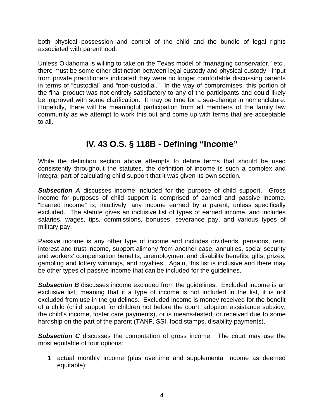both physical possession and control of the child and the bundle of legal rights associated with parenthood.

Unless Oklahoma is willing to take on the Texas model of "managing conservator," etc., there must be some other distinction between legal custody and physical custody. Input from private practitioners indicated they were no longer comfortable discussing parents in terms of "custodial" and "non-custodial." In the way of compromises, this portion of the final product was not entirely satisfactory to any of the participants and could likely be improved with some clarification. It may be time for a sea-change in nomenclature. Hopefully, there will be meaningful participation from all members of the family law community as we attempt to work this out and come up with terms that are acceptable to all.

# **IV. 43 O.S. § 118B - Defining "Income"**

<span id="page-5-0"></span>While the definition section above attempts to define terms that should be used consistently throughout the statutes, the definition of income is such a complex and integral part of calculating child support that it was given its own section.

<span id="page-5-1"></span>**Subsection A** discusses income included for the purpose of child support. Gross income for purposes of child support is comprised of earned and passive income. "Earned income" is, intuitively, any income earned by a parent, unless specifically excluded. The statute gives an inclusive list of types of earned income, and includes salaries, wages, tips, commissions, bonuses, severance pay, and various types of military pay.

Passive income is any other type of income and includes dividends, pensions, rent, interest and trust income, support alimony from another case, annuities, social security and workers' compensation benefits, unemployment and disability benefits, gifts, prizes, gambling and lottery winnings, and royalties. Again, this list is inclusive and there may be other types of passive income that can be included for the guidelines.

<span id="page-5-2"></span>**Subsection B** discusses income excluded from the quidelines. Excluded income is an exclusive list, meaning that if a type of income is not included in the list, it is not excluded from use in the guidelines. Excluded income is money received for the benefit of a child (child support for children not before the court, adoption assistance subsidy, the child's income, foster care payments), or is means-tested, or received due to some hardship on the part of the parent (TANF, SSI, food stamps, disability payments).

<span id="page-5-3"></span>**Subsection C** discusses the computation of gross income. The court may use the most equitable of four options:

1. actual monthly income (plus overtime and supplemental income as deemed equitable);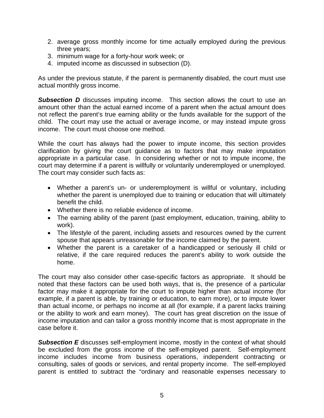- 2. average gross monthly income for time actually employed during the previous three years;
- 3. minimum wage for a forty-hour work week; or
- 4. imputed income as discussed in subsection (D).

As under the previous statute, if the parent is permanently disabled, the court must use actual monthly gross income.

<span id="page-6-0"></span>**Subsection D** discusses imputing income. This section allows the court to use an amount other than the actual earned income of a parent when the actual amount does not reflect the parent's true earning ability or the funds available for the support of the child. The court may use the actual or average income, or may instead impute gross income. The court must choose one method.

While the court has always had the power to impute income, this section provides clarification by giving the court guidance as to factors that may make imputation appropriate in a particular case. In considering whether or not to impute income, the court may determine if a parent is willfully or voluntarily underemployed or unemployed. The court may consider such facts as:

- Whether a parent's un- or underemployment is willful or voluntary, including whether the parent is unemployed due to training or education that will ultimately benefit the child.
- Whether there is no reliable evidence of income.
- The earning ability of the parent (past employment, education, training, ability to work).
- The lifestyle of the parent, including assets and resources owned by the current spouse that appears unreasonable for the income claimed by the parent.
- Whether the parent is a caretaker of a handicapped or seriously ill child or relative, if the care required reduces the parent's ability to work outside the home.

The court may also consider other case-specific factors as appropriate. It should be noted that these factors can be used both ways, that is, the presence of a particular factor may make it appropriate for the court to impute higher than actual income (for example, if a parent is able, by training or education, to earn more), or to impute lower than actual income, or perhaps no income at all (for example, if a parent lacks training or the ability to work and earn money). The court has great discretion on the issue of income imputation and can tailor a gross monthly income that is most appropriate in the case before it.

<span id="page-6-1"></span>**Subsection E** discusses self-employment income, mostly in the context of what should be excluded from the gross income of the self-employed parent. Self-employment income includes income from business operations, independent contracting or consulting, sales of goods or services, and rental property income. The self-employed parent is entitled to subtract the "ordinary and reasonable expenses necessary to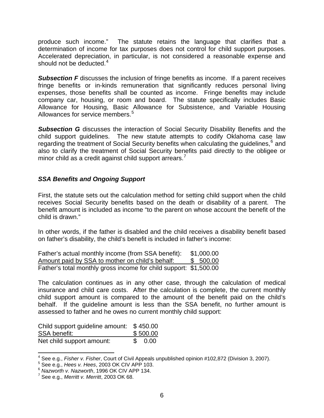produce such income." The statute retains the language that clarifies that a determination of income for tax purposes does not control for child support purposes. Accelerated depreciation, in particular, is not considered a reasonable expense and should not be deducted.<sup>[4](#page-7-3)</sup>

<span id="page-7-0"></span>**Subsection F** discusses the inclusion of fringe benefits as income. If a parent receives fringe benefits or in-kinds remuneration that significantly reduces personal living expenses, those benefits shall be counted as income. Fringe benefits may include company car, housing, or room and board. The statute specifically includes Basic Allowance for Housing, Basic Allowance for Subsistence, and Variable Housing Allowances for service members.<sup>[5](#page-7-4)</sup>

<span id="page-7-1"></span>**Subsection G** discusses the interaction of Social Security Disability Benefits and the child support guidelines. The new statute attempts to codify Oklahoma case law regarding the treatment of Social Security benefits when calculating the guidelines,<sup>[6](#page-7-5)</sup> and also to clarify the treatment of Social Security benefits paid directly to the obligee or minor child as a credit against child support arrears.<sup>[7](#page-7-6)</sup>

## <span id="page-7-2"></span>*SSA Benefits and Ongoing Support*

First, the statute sets out the calculation method for setting child support when the child receives Social Security benefits based on the death or disability of a parent. The benefit amount is included as income "to the parent on whose account the benefit of the child is drawn."

In other words, if the father is disabled and the child receives a disability benefit based on father's disability, the child's benefit is included in father's income:

| Father's actual monthly income (from SSA benefit):                | \$1,000.00 |  |  |
|-------------------------------------------------------------------|------------|--|--|
| Amount paid by SSA to mother on child's behalf:                   | \$ 500.00  |  |  |
| Father's total monthly gross income for child support: \$1,500.00 |            |  |  |

The calculation continues as in any other case, through the calculation of medical insurance and child care costs. After the calculation is complete, the current monthly child support amount is compared to the amount of the benefit paid on the child's behalf. If the guideline amount is less than the SSA benefit, no further amount is assessed to father and he owes no current monthly child support:

| Child support guideline amount: \$450.00 |          |         |  |
|------------------------------------------|----------|---------|--|
| <b>SSA benefit:</b>                      | \$500.00 |         |  |
| Net child support amount:                |          | \$ 0.00 |  |

<span id="page-7-3"></span> 4 See e.g., *Fisher v. Fisher*, Court of Civil Appeals unpublished opinion #102,872 (Division 3, 2007).

5 See e.g., *Hees v. Hees*, 2003 OK CIV APP 103.

<span id="page-7-5"></span><span id="page-7-4"></span><sup>6</sup> *Nazworth v. Nazworth*, 1996 OK CIV APP 134. 7

<span id="page-7-6"></span> $^7$  See e.g., *Merritt v. Merritt*, 2003 OK 68.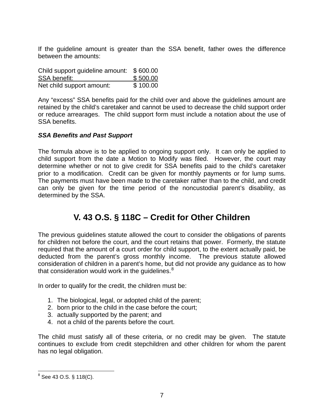If the guideline amount is greater than the SSA benefit, father owes the difference between the amounts:

| Child support guideline amount: | \$600.00 |
|---------------------------------|----------|
| <b>SSA benefit:</b>             | \$500.00 |
| Net child support amount:       | \$100.00 |

Any "excess" SSA benefits paid for the child over and above the guidelines amount are retained by the child's caretaker and cannot be used to decrease the child support order or reduce arrearages. The child support form must include a notation about the use of SSA benefits.

## <span id="page-8-0"></span>*SSA Benefits and Past Support*

The formula above is to be applied to ongoing support only. It can only be applied to child support from the date a Motion to Modify was filed. However, the court may determine whether or not to give credit for SSA benefits paid to the child's caretaker prior to a modification. Credit can be given for monthly payments or for lump sums. The payments must have been made to the caretaker rather than to the child, and credit can only be given for the time period of the noncustodial parent's disability, as determined by the SSA.

# **V. 43 O.S. § 118C – Credit for Other Children**

<span id="page-8-1"></span>The previous guidelines statute allowed the court to consider the obligations of parents for children not before the court, and the court retains that power. Formerly, the statute required that the amount of a court order for child support, to the extent actually paid, be deducted from the parent's gross monthly income. The previous statute allowed consideration of children in a parent's home, but did not provide any guidance as to how that consideration would work in the quidelines. $8<sup>8</sup>$  $8<sup>8</sup>$ 

In order to qualify for the credit, the children must be:

- 1. The biological, legal, or adopted child of the parent;
- 2. born prior to the child in the case before the court;
- 3. actually supported by the parent; and
- 4. not a child of the parents before the court.

The child must satisfy all of these criteria, or no credit may be given. The statute continues to exclude from credit stepchildren and other children for whom the parent has no legal obligation.

<span id="page-8-2"></span>е в 43 O.S. § 118(C).<br><sup>8</sup> See 43 O.S. § 118(C).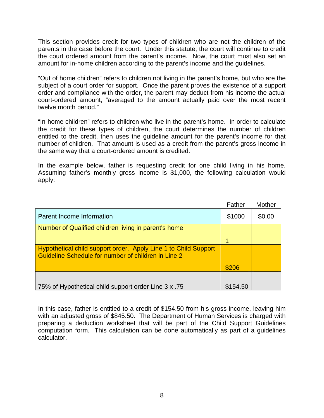This section provides credit for two types of children who are not the children of the parents in the case before the court. Under this statute, the court will continue to credit the court ordered amount from the parent's income. Now, the court must also set an amount for in-home children according to the parent's income and the guidelines.

"Out of home children" refers to children not living in the parent's home, but who are the subject of a court order for support. Once the parent proves the existence of a support order and compliance with the order, the parent may deduct from his income the actual court-ordered amount, "averaged to the amount actually paid over the most recent twelve month period."

"In-home children" refers to children who live in the parent's home. In order to calculate the credit for these types of children, the court determines the number of children entitled to the credit, then uses the guideline amount for the parent's income for that number of children. That amount is used as a credit from the parent's gross income in the same way that a court-ordered amount is credited.

In the example below, father is requesting credit for one child living in his home. Assuming father's monthly gross income is \$1,000, the following calculation would apply:

|                                                                                                                        | Father   | Mother |
|------------------------------------------------------------------------------------------------------------------------|----------|--------|
| Parent Income Information                                                                                              | \$1000   | \$0.00 |
| Number of Qualified children living in parent's home                                                                   |          |        |
|                                                                                                                        |          |        |
| Hypothetical child support order. Apply Line 1 to Child Support<br>Guideline Schedule for number of children in Line 2 |          |        |
|                                                                                                                        | \$206    |        |
|                                                                                                                        |          |        |
| 75. T5 75% of Hypothetical child support order Line 3 x                                                                | \$154.50 |        |

In this case, father is entitled to a credit of \$154.50 from his gross income, leaving him with an adjusted gross of \$845.50. The Department of Human Services is charged with preparing a deduction worksheet that will be part of the Child Support Guidelines computation form. This calculation can be done automatically as part of a guidelines calculator.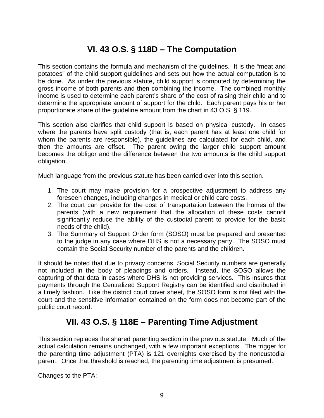# **VI. 43 O.S. § 118D – The Computation**

This section contains the formula and mechanism of the guidelines. It is the "meat and potatoes" of the child support guidelines and sets out how the actual computation is to be done. As under the previous statute, child support is computed by determining the gross income of both parents and then combining the income. The combined monthly income is used to determine each parent's share of the cost of raising their child and to determine the appropriate amount of support for the child. Each parent pays his or her proportionate share of the guideline amount from the chart in 43 O.S. § 119.

This section also clarifies that child support is based on physical custody. In cases where the parents have split custody (that is, each parent has at least one child for whom the parents are responsible), the guidelines are calculated for each child, and then the amounts are offset. The parent owing the larger child support amount becomes the obligor and the difference between the two amounts is the child support obligation.

Much language from the previous statute has been carried over into this section.

- 1. The court may make provision for a prospective adjustment to address any foreseen changes, including changes in medical or child care costs.
- 2. The court can provide for the cost of transportation between the homes of the parents (with a new requirement that the allocation of these costs cannot significantly reduce the ability of the custodial parent to provide for the basic needs of the child).
- 3. The Summary of Support Order form (SOSO) must be prepared and presented to the judge in any case where DHS is not a necessary party. The SOSO must contain the Social Security number of the parents and the children.

It should be noted that due to privacy concerns, Social Security numbers are generally not included in the body of pleadings and orders. Instead, the SOSO allows the capturing of that data in cases where DHS is not providing services. This insures that payments through the Centralized Support Registry can be identified and distributed in a timely fashion. Like the district court cover sheet, the SOSO form is not filed with the court and the sensitive information contained on the form does not become part of the public court record.

# **VII. 43 O.S. § 118E – Parenting Time Adjustment**

<span id="page-10-1"></span>This section replaces the shared parenting section in the previous statute. Much of the actual calculation remains unchanged, with a few important exceptions. The trigger for the parenting time adjustment (PTA) is 121 overnights exercised by the noncustodial parent. Once that threshold is reached, the parenting time adjustment is presumed.

<span id="page-10-0"></span>Changes to the PTA: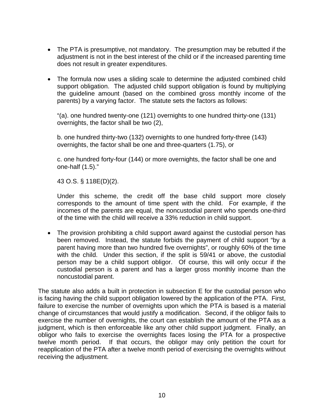- The PTA is presumptive, not mandatory. The presumption may be rebutted if the adjustment is not in the best interest of the child or if the increased parenting time does not result in greater expenditures.
- The formula now uses a sliding scale to determine the adjusted combined child support obligation. The adjusted child support obligation is found by multiplying the guideline amount (based on the combined gross monthly income of the parents) by a varying factor. The statute sets the factors as follows:

"(a). one hundred twenty-one (121) overnights to one hundred thirty-one (131) overnights, the factor shall be two (2),

b. one hundred thirty-two (132) overnights to one hundred forty-three (143) overnights, the factor shall be one and three-quarters (1.75), or

c. one hundred forty-four (144) or more overnights, the factor shall be one and one-half (1.5)."

43 O.S. § 118E(D)(2).

Under this scheme, the credit off the base child support more closely corresponds to the amount of time spent with the child. For example, if the incomes of the parents are equal, the noncustodial parent who spends one-third of the time with the child will receive a 33% reduction in child support.

The provision prohibiting a child support award against the custodial person has been removed. Instead, the statute forbids the payment of child support "by a parent having more than two hundred five overnights", or roughly 60% of the time with the child. Under this section, if the split is 59/41 or above, the custodial person may be a child support obligor. Of course, this will only occur if the custodial person is a parent and has a larger gross monthly income than the noncustodial parent.

The statute also adds a built in protection in subsection E for the custodial person who is facing having the child support obligation lowered by the application of the PTA. First, failure to exercise the number of overnights upon which the PTA is based is a material change of circumstances that would justify a modification. Second, if the obligor fails to exercise the number of overnights, the court can establish the amount of the PTA as a judgment, which is then enforceable like any other child support judgment. Finally, an obligor who fails to exercise the overnights faces losing the PTA for a prospective twelve month period. If that occurs, the obligor may only petition the court for reapplication of the PTA after a twelve month period of exercising the overnights without receiving the adjustment.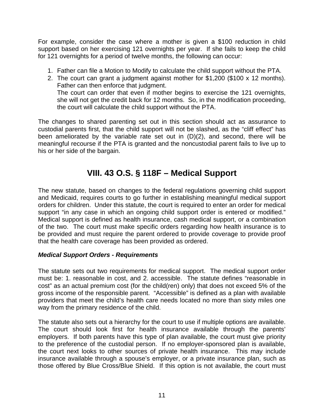For example, consider the case where a mother is given a \$100 reduction in child support based on her exercising 121 overnights per year. If she fails to keep the child for 121 overnights for a period of twelve months, the following can occur:

- 1. Father can file a Motion to Modify to calculate the child support without the PTA.
- 2. The court can grant a judgment against mother for \$1,200 (\$100 x 12 months). Father can then enforce that judgment. The court can order that even if mother begins to exercise the 121 overnights, she will not get the credit back for 12 months. So, in the modification proceeding, the court will calculate the child support without the PTA.

The changes to shared parenting set out in this section should act as assurance to custodial parents first, that the child support will not be slashed, as the "cliff effect" has been ameliorated by the variable rate set out in (D)(2), and second, there will be meaningful recourse if the PTA is granted and the noncustodial parent fails to live up to his or her side of the bargain.

# **VIII. 43 O.S. § 118F – Medical Support**

<span id="page-12-0"></span>The new statute, based on changes to the federal regulations governing child support and Medicaid, requires courts to go further in establishing meaningful medical support orders for children. Under this statute, the court is required to enter an order for medical support "in any case in which an ongoing child support order is entered or modified." Medical support is defined as health insurance, cash medical support, or a combination of the two. The court must make specific orders regarding how health insurance is to be provided and must require the parent ordered to provide coverage to provide proof that the health care coverage has been provided as ordered.

## <span id="page-12-1"></span>*Medical Support Orders - Requirements*

The statute sets out two requirements for medical support. The medical support order must be: 1. reasonable in cost, and 2. accessible. The statute defines "reasonable in cost" as an actual premium cost (for the child(ren) only) that does not exceed 5% of the gross income of the responsible parent. "Accessible" is defined as a plan with available providers that meet the child's health care needs located no more than sixty miles one way from the primary residence of the child.

The statute also sets out a hierarchy for the court to use if multiple options are available. The court should look first for health insurance available through the parents' employers. If both parents have this type of plan available, the court must give priority to the preference of the custodial person. If no employer-sponsored plan is available, the court next looks to other sources of private health insurance. This may include insurance available through a spouse's employer, or a private insurance plan, such as those offered by Blue Cross/Blue Shield. If this option is not available, the court must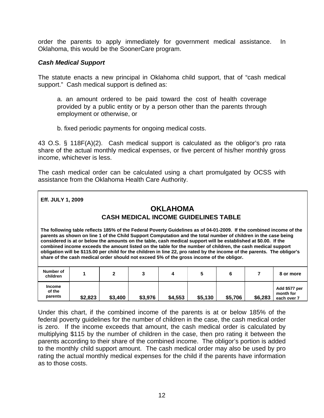order the parents to apply immediately for government medical assistance. In Oklahoma, this would be the SoonerCare program.

#### <span id="page-13-0"></span>*Cash Medical Support*

The statute enacts a new principal in Oklahoma child support, that of "cash medical support." Cash medical support is defined as:

a. an amount ordered to be paid toward the cost of health coverage provided by a public entity or by a person other than the parents through employment or otherwise, or

b. fixed periodic payments for ongoing medical costs.

43 O.S. § 118F(A)(2). Cash medical support is calculated as the obligor's pro rata share of the actual monthly medical expenses, or five percent of his/her monthly gross income, whichever is less.

The cash medical order can be calculated using a chart promulgated by OCSS with assistance from the Oklahoma Health Care Authority.

|  | Eff. JULY 1, 2009 |
|--|-------------------|
|  |                   |

## **OKLAHOMA CASH MEDICAL INCOME GUIDELINES TABLE**

**The following table reflects 185% of the Federal Poverty Guidelines as of 04-01-2009. If the combined income of the parents as shown on line 1 of the Child Support Computation and the total number of children in the case being considered is at or below the amounts on the table, cash medical support will be established at \$0.00. If the combined income exceeds the amount listed on the table for the number of children, the cash medical support obligation will be \$115.00 per child for the children in line 22, pro rated by the income of the parents. The obligor's share of the cash medical order should not exceed 5% of the gross income of the obligor.** 

| Number of<br>children              |         |         |         |         |         |         |         | 8 or more                                 |
|------------------------------------|---------|---------|---------|---------|---------|---------|---------|-------------------------------------------|
| <b>Income</b><br>of the<br>parents | \$2,823 | \$3,400 | \$3,976 | \$4,553 | \$5,130 | \$5,706 | \$6,283 | Add \$577 per<br>month for<br>each over 7 |

Under this chart, if the combined income of the parents is at or below 185% of the federal poverty guidelines for the number of children in the case, the cash medical order is zero. If the income exceeds that amount, the cash medical order is calculated by multiplying \$115 by the number of children in the case, then pro rating it between the parents according to their share of the combined income. The obligor's portion is added to the monthly child support amount. The cash medical order may also be used by pro rating the actual monthly medical expenses for the child if the parents have information as to those costs.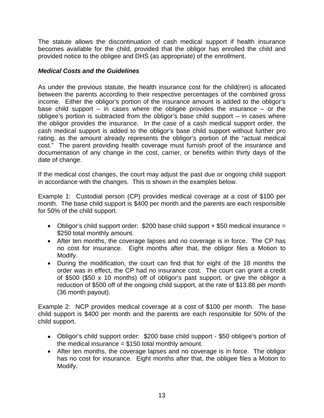The statute allows the discontinuation of cash medical support if health insurance becomes available for the child, provided that the obligor has enrolled the child and provided notice to the obligee and DHS (as appropriate) of the enrollment.

## <span id="page-14-0"></span>*Medical Costs and the Guidelines*

As under the previous statute, the health insurance cost for the child(ren) is allocated between the parents according to their respective percentages of the combined gross income. Either the obligor's portion of the insurance amount is added to the obligor's base child support – in cases where the obligee provides the insurance – or the obligee's portion is subtracted from the obligor's base child support – in cases where the obligor provides the insurance. In the case of a cash medical support order, the cash medical support is added to the obligor's base child support without further pro rating, as the amount already represents the obligor's portion of the "actual medical cost." The parent providing health coverage must furnish proof of the insurance and documentation of any change in the cost, carrier, or benefits within thirty days of the date of change.

If the medical cost changes, the court may adjust the past due or ongoing child support in accordance with the changes. This is shown in the examples below.

Example 1: Custodial person (CP) provides medical coverage at a cost of \$100 per month. The base child support is \$400 per month and the parents are each responsible for 50% of the child support.

- Obligor's child support order: \$200 base child support + \$50 medical insurance = \$250 total monthly amount.
- After ten months, the coverage lapses and no coverage is in force. The CP has no cost for insurance. Eight months after that, the obligor files a Motion to Modify.
- During the modification, the court can find that for eight of the 18 months the order was in effect, the CP had no insurance cost. The court can grant a credit of \$500 (\$50 x 10 months) off of obligor's past support, or give the obligor a reduction of \$500 off of the ongoing child support, at the rate of \$13.88 per month (36 month payout).

Example 2: NCP provides medical coverage at a cost of \$100 per month. The base child support is \$400 per month and the parents are each responsible for 50% of the child support.

- Obligor's child support order: \$200 base child support \$50 obligee's portion of the medical insurance  $= $150$  total monthly amount.
- After ten months, the coverage lapses and no coverage is in force. The obligor has no cost for insurance. Eight months after that, the obligee files a Motion to Modify.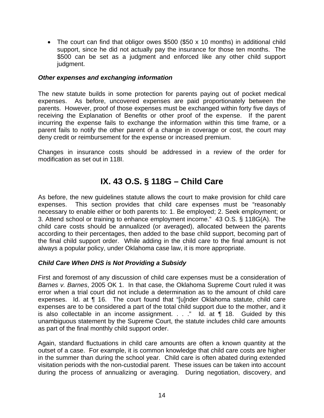• The court can find that obligor owes \$500 (\$50 x 10 months) in additional child support, since he did not actually pay the insurance for those ten months. The \$500 can be set as a judgment and enforced like any other child support judgment.

#### <span id="page-15-0"></span>*Other expenses and exchanging information*

The new statute builds in some protection for parents paying out of pocket medical expenses. As before, uncovered expenses are paid proportionately between the parents. However, proof of those expenses must be exchanged within forty five days of receiving the Explanation of Benefits or other proof of the expense. If the parent incurring the expense fails to exchange the information within this time frame, or a parent fails to notify the other parent of a change in coverage or cost, the court may deny credit or reimbursement for the expense or increased premium.

Changes in insurance costs should be addressed in a review of the order for modification as set out in 118I.

# **IX. 43 O.S. § 118G – Child Care**

<span id="page-15-1"></span>As before, the new guidelines statute allows the court to make provision for child care expenses. This section provides that child care expenses must be "reasonably necessary to enable either or both parents to: 1. Be employed; 2. Seek employment; or 3. Attend school or training to enhance employment income." 43 O.S. § 118G(A). The child care costs should be annualized (or averaged), allocated between the parents according to their percentages, then added to the base child support, becoming part of the final child support order. While adding in the child care to the final amount is not always a popular policy, under Oklahoma case law, it is more appropriate.

## <span id="page-15-2"></span>*Child Care When DHS is Not Providing a Subsidy*

First and foremost of any discussion of child care expenses must be a consideration of *Barnes v. Barnes*, 2005 OK 1. In that case, the Oklahoma Supreme Court ruled it was error when a trial court did not include a determination as to the amount of child care expenses. Id. at ¶ 16. The court found that "[u]nder Oklahoma statute, child care expenses are to be considered a part of the total child support due to the mother, and it is also collectable in an income assignment.  $\ldots$  " Id. at  $\P$  18. Guided by this unambiguous statement by the Supreme Court, the statute includes child care amounts as part of the final monthly child support order.

Again, standard fluctuations in child care amounts are often a known quantity at the outset of a case. For example, it is common knowledge that child care costs are higher in the summer than during the school year. Child care is often abated during extended visitation periods with the non-custodial parent. These issues can be taken into account during the process of annualizing or averaging. During negotiation, discovery, and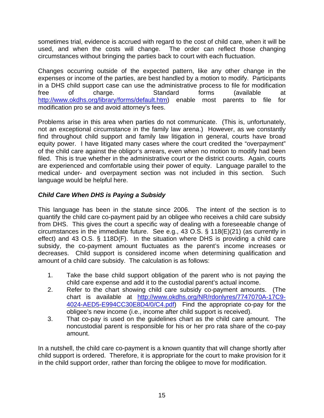sometimes trial, evidence is accrued with regard to the cost of child care, when it will be used, and when the costs will change. The order can reflect those changing circumstances without bringing the parties back to court with each fluctuation.

Changes occurring outside of the expected pattern, like any other change in the expenses or income of the parties, are best handled by a motion to modify. Participants in a DHS child support case can use the administrative process to file for modification free of charge. Standard forms (available at <http://www.okdhs.org/library/forms/default.htm>) enable most parents to file for modification pro se and avoid attorney's fees.

Problems arise in this area when parties do not communicate. (This is, unfortunately, not an exceptional circumstance in the family law arena.) However, as we constantly find throughout child support and family law litigation in general, courts have broad equity power. I have litigated many cases where the court credited the "overpayment" of the child care against the obligor's arrears, even when no motion to modify had been filed. This is true whether in the administrative court or the district courts. Again, courts are experienced and comfortable using their power of equity. Language parallel to the medical under- and overpayment section was not included in this section. Such language would be helpful here.

## <span id="page-16-0"></span>*Child Care When DHS is Paying a Subsidy*

This language has been in the statute since 2006. The intent of the section is to quantify the child care co-payment paid by an obligee who receives a child care subsidy from DHS. This gives the court a specific way of dealing with a foreseeable change of circumstances in the immediate future. See e.g., 43 O.S. § 118(E)(21) (as currently in effect) and 43 O.S. § 118D(F). In the situation where DHS is providing a child care subsidy, the co-payment amount fluctuates as the parent's income increases or decreases. Child support is considered income when determining qualification and amount of a child care subsidy. The calculation is as follows:

- 1. Take the base child support obligation of the parent who is not paying the child care expense and add it to the custodial parent's actual income.
- 2. Refer to the chart showing child care subsidy co-payment amounts. (The chart is available at [http://www.okdhs.org/NR/rdonlyres/7747070A-17C9-](http://www.okdhs.org/NR/rdonlyres/7747070A-17C9-4024-AED5-E994CC30E8D4/0/C4.pdf) [4024-AED5-E994CC30E8D4/0/C4.pdf](http://www.okdhs.org/NR/rdonlyres/7747070A-17C9-4024-AED5-E994CC30E8D4/0/C4.pdf)) Find the appropriate co-pay for the obligee's new income (i.e., income after child support is received).
- 3. That co-pay is used on the guidelines chart as the child care amount. The noncustodial parent is responsible for his or her pro rata share of the co-pay amount.

In a nutshell, the child care co-payment is a known quantity that will change shortly after child support is ordered. Therefore, it is appropriate for the court to make provision for it in the child support order, rather than forcing the obligee to move for modification.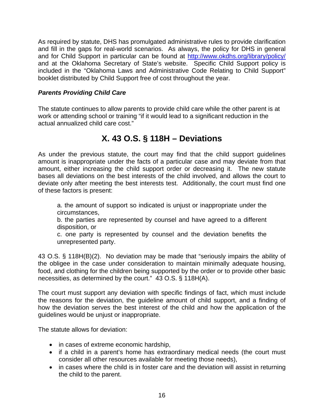As required by statute, DHS has promulgated administrative rules to provide clarification and fill in the gaps for real-world scenarios. As always, the policy for DHS in general and for Child Support in particular can be found at <http://www.okdhs.org/library/policy/> and at the Oklahoma Secretary of State's website. Specific Child Support policy is included in the "Oklahoma Laws and Administrative Code Relating to Child Support" booklet distributed by Child Support free of cost throughout the year.

## <span id="page-17-0"></span>*Parents Providing Child Care*

The statute continues to allow parents to provide child care while the other parent is at work or attending school or training "if it would lead to a significant reduction in the actual annualized child care cost."

# **X. 43 O.S. § 118H – Deviations**

<span id="page-17-1"></span>As under the previous statute, the court may find that the child support guidelines amount is inappropriate under the facts of a particular case and may deviate from that amount, either increasing the child support order or decreasing it. The new statute bases all deviations on the best interests of the child involved, and allows the court to deviate only after meeting the best interests test. Additionally, the court must find one of these factors is present:

a. the amount of support so indicated is unjust or inappropriate under the circumstances,

b. the parties are represented by counsel and have agreed to a different disposition, or

c. one party is represented by counsel and the deviation benefits the unrepresented party.

43 O.S. § 118H(B)(2). No deviation may be made that "seriously impairs the ability of the obligee in the case under consideration to maintain minimally adequate housing, food, and clothing for the children being supported by the order or to provide other basic necessities, as determined by the court." 43 O.S. § 118H(A).

The court must support any deviation with specific findings of fact, which must include the reasons for the deviation, the guideline amount of child support, and a finding of how the deviation serves the best interest of the child and how the application of the guidelines would be unjust or inappropriate.

The statute allows for deviation:

- in cases of extreme economic hardship,
- if a child in a parent's home has extraordinary medical needs (the court must consider all other resources available for meeting those needs),
- in cases where the child is in foster care and the deviation will assist in returning the child to the parent.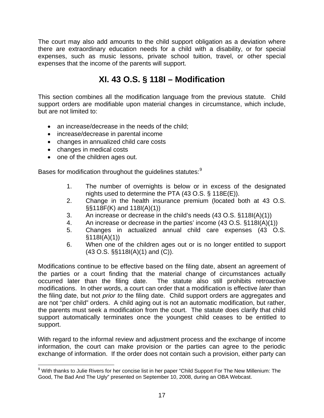The court may also add amounts to the child support obligation as a deviation where there are extraordinary education needs for a child with a disability, or for special expenses, such as music lessons, private school tuition, travel, or other special expenses that the income of the parents will support.

# **XI. 43 O.S. § 118I – Modification**

<span id="page-18-0"></span>This section combines all the modification language from the previous statute. Child support orders are modifiable upon material changes in circumstance, which include, but are not limited to:

- an increase/decrease in the needs of the child;
- increase/decrease in parental income
- changes in annualized child care costs
- changes in medical costs
- one of the children ages out.

Bases for modification throughout the quidelines statutes:<sup>[9](#page-18-1)</sup>

- 1. The number of overnights is below or in excess of the designated nights used to determine the PTA (43 O.S. § 118E(E)).
- 2. Change in the health insurance premium (located both at 43 O.S. §§118F(K) and 118I(A)(1))
- 3. An increase or decrease in the child's needs (43 O.S. §118I(A)(1))
- 4. An increase or decrease in the parties' income (43 O.S. §118I(A)(1))
- 5. Changes in actualized annual child care expenses (43 O.S.  $$118I(A)(1))$
- 6. When one of the children ages out or is no longer entitled to support (43 O.S. §§118I(A)(1) and (C)).

Modifications continue to be effective based on the filing date, absent an agreement of the parties or a court finding that the material change of circumstances actually occurred later than the filing date. The statute also still prohibits retroactive modifications. In other words, a court can order that a modification is effective *later* than the filing date, but not *prior to* the filing date. Child support orders are aggregates and are not "per child" orders. A child aging out is not an automatic modification, but rather, the parents must seek a modification from the court. The statute does clarify that child support automatically terminates once the youngest child ceases to be entitled to support.

With regard to the informal review and adjustment process and the exchange of income information, the court can make provision or the parties can agree to the periodic exchange of information. If the order does not contain such a provision, either party can

<span id="page-18-1"></span> 9 With thanks to Julie Rivers for her concise list in her paper "Child Support For The New Millenium: The Good, The Bad And The Ugly" presented on September 10, 2008, during an OBA Webcast.